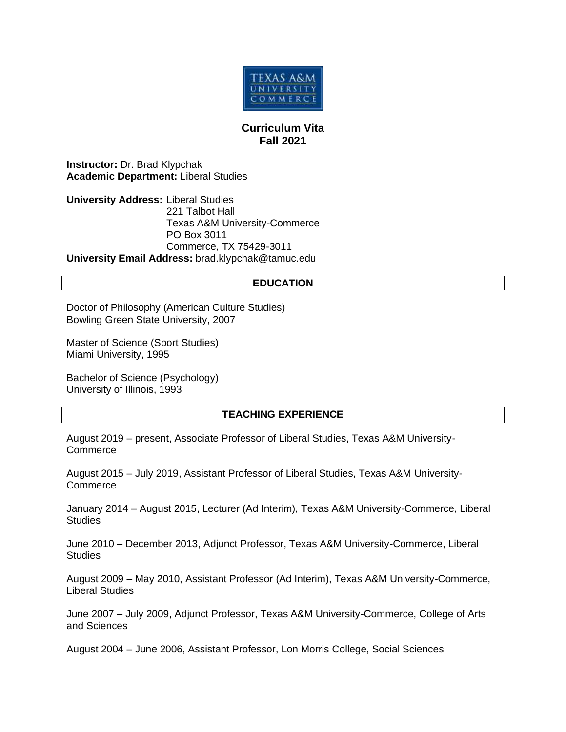

# **Curriculum Vita Fall 2021**

**Instructor:** Dr. Brad Klypchak **Academic Department:** Liberal Studies

**University Address:** Liberal Studies 221 Talbot Hall Texas A&M University-Commerce PO Box 3011 Commerce, TX 75429-3011 **University Email Address:** brad.klypchak@tamuc.edu

### **EDUCATION**

Doctor of Philosophy (American Culture Studies) Bowling Green State University, 2007

Master of Science (Sport Studies) Miami University, 1995

Bachelor of Science (Psychology) University of Illinois, 1993

## **TEACHING EXPERIENCE**

August 2019 – present, Associate Professor of Liberal Studies, Texas A&M University-**Commerce** 

August 2015 – July 2019, Assistant Professor of Liberal Studies, Texas A&M University-Commerce

January 2014 – August 2015, Lecturer (Ad Interim), Texas A&M University-Commerce, Liberal **Studies** 

June 2010 – December 2013, Adjunct Professor, Texas A&M University-Commerce, Liberal **Studies** 

August 2009 – May 2010, Assistant Professor (Ad Interim), Texas A&M University-Commerce, Liberal Studies

June 2007 – July 2009, Adjunct Professor, Texas A&M University-Commerce, College of Arts and Sciences

August 2004 – June 2006, Assistant Professor, Lon Morris College, Social Sciences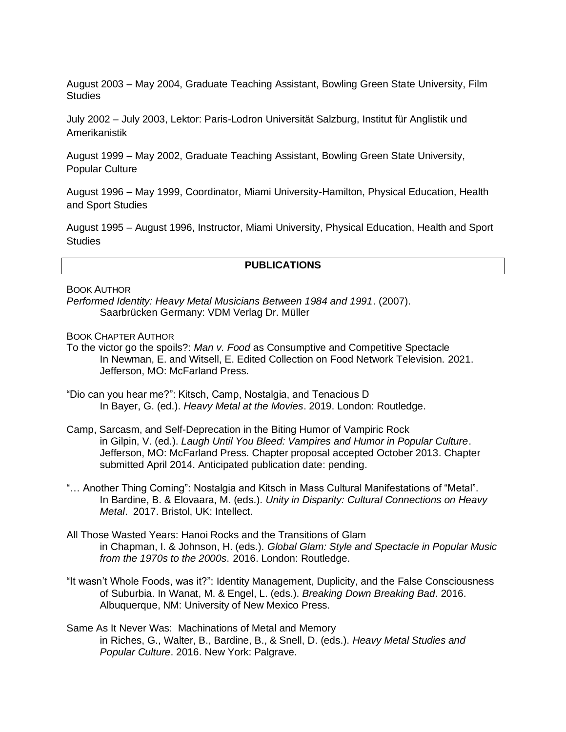August 2003 – May 2004, Graduate Teaching Assistant, Bowling Green State University, Film **Studies** 

July 2002 – July 2003, Lektor: Paris-Lodron Universität Salzburg, Institut für Anglistik und Amerikanistik

August 1999 – May 2002, Graduate Teaching Assistant, Bowling Green State University, Popular Culture

August 1996 – May 1999, Coordinator, Miami University-Hamilton, Physical Education, Health and Sport Studies

August 1995 – August 1996, Instructor, Miami University, Physical Education, Health and Sport **Studies** 

### **PUBLICATIONS**

BOOK AUTHOR

*Performed Identity: Heavy Metal Musicians Between 1984 and 1991*. (2007). Saarbrücken Germany: VDM Verlag Dr. Müller

BOOK CHAPTER AUTHOR

To the victor go the spoils?: *Man v. Food* as Consumptive and Competitive Spectacle In Newman, E. and Witsell, E. Edited Collection on Food Network Television. 2021. Jefferson, MO: McFarland Press.

- "Dio can you hear me?": Kitsch, Camp, Nostalgia, and Tenacious D In Bayer, G. (ed.). *Heavy Metal at the Movies*. 2019. London: Routledge.
- Camp, Sarcasm, and Self-Deprecation in the Biting Humor of Vampiric Rock in Gilpin, V. (ed.). *Laugh Until You Bleed: Vampires and Humor in Popular Culture*. Jefferson, MO: McFarland Press. Chapter proposal accepted October 2013. Chapter submitted April 2014. Anticipated publication date: pending.
- "… Another Thing Coming": Nostalgia and Kitsch in Mass Cultural Manifestations of "Metal". In Bardine, B. & Elovaara, M. (eds.). *Unity in Disparity: Cultural Connections on Heavy Metal*. 2017. Bristol, UK: Intellect.
- All Those Wasted Years: Hanoi Rocks and the Transitions of Glam in Chapman, I. & Johnson, H. (eds.). *Global Glam: Style and Spectacle in Popular Music from the 1970s to the 2000s*. 2016. London: Routledge.
- "It wasn't Whole Foods, was it?": Identity Management, Duplicity, and the False Consciousness of Suburbia. In Wanat, M. & Engel, L. (eds.). *Breaking Down Breaking Bad*. 2016. Albuquerque, NM: University of New Mexico Press.
- Same As It Never Was: Machinations of Metal and Memory in Riches, G., Walter, B., Bardine, B., & Snell, D. (eds.). *Heavy Metal Studies and Popular Culture*. 2016. New York: Palgrave.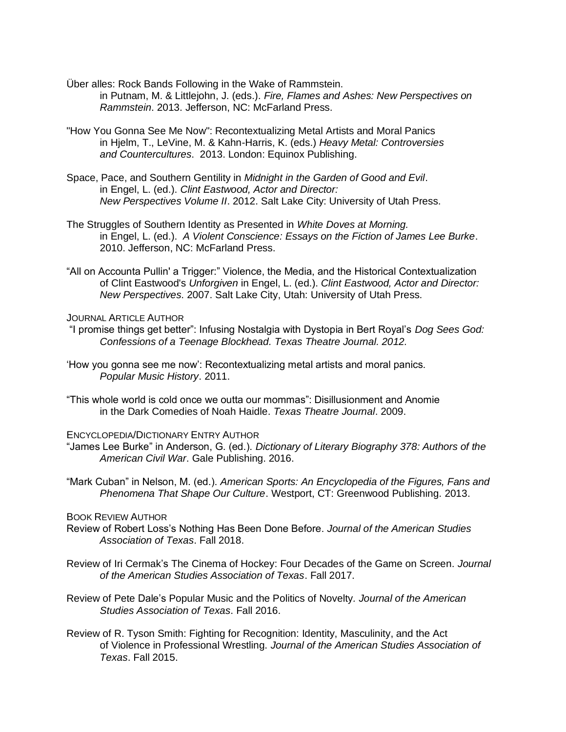Über alles: Rock Bands Following in the Wake of Rammstein. in Putnam, M. & Littlejohn, J. (eds.). *Fire, Flames and Ashes: New Perspectives on Rammstein*. 2013. Jefferson, NC: McFarland Press.

- "How You Gonna See Me Now": Recontextualizing Metal Artists and Moral Panics in Hjelm, T., LeVine, M. & Kahn-Harris, K. (eds.) *Heavy Metal: Controversies and Countercultures*. 2013. London: Equinox Publishing.
- Space, Pace, and Southern Gentility in *Midnight in the Garden of Good and Evil*. in Engel, L. (ed.). *Clint Eastwood, Actor and Director: New Perspectives Volume II*. 2012. Salt Lake City: University of Utah Press.
- The Struggles of Southern Identity as Presented in *White Doves at Morning.*  in Engel, L. (ed.). *A Violent Conscience: Essays on the Fiction of James Lee Burke*. 2010. Jefferson, NC: McFarland Press.
- "All on Accounta Pullin' a Trigger:" Violence, the Media, and the Historical Contextualization of Clint Eastwood's *Unforgiven* in Engel, L. (ed.). *Clint Eastwood, Actor and Director: New Perspectives*. 2007. Salt Lake City, Utah: University of Utah Press.

JOURNAL ARTICLE AUTHOR

- "I promise things get better": Infusing Nostalgia with Dystopia in Bert Royal's *Dog Sees God: Confessions of a Teenage Blockhead. Texas Theatre Journal. 2012.*
- 'How you gonna see me now': Recontextualizing metal artists and moral panics. *Popular Music History*. 2011.
- "This whole world is cold once we outta our mommas": Disillusionment and Anomie in the Dark Comedies of Noah Haidle. *Texas Theatre Journal*. 2009.

ENCYCLOPEDIA/DICTIONARY ENTRY AUTHOR

- "James Lee Burke" in Anderson, G. (ed.). *Dictionary of Literary Biography 378: Authors of the American Civil War*. Gale Publishing. 2016.
- "Mark Cuban" in Nelson, M. (ed.). *American Sports: An Encyclopedia of the Figures, Fans and Phenomena That Shape Our Culture*. Westport, CT: Greenwood Publishing. 2013.

BOOK REVIEW AUTHOR

- Review of Robert Loss's Nothing Has Been Done Before. *Journal of the American Studies Association of Texas*. Fall 2018.
- Review of Iri Cermak's The Cinema of Hockey: Four Decades of the Game on Screen. *Journal of the American Studies Association of Texas*. Fall 2017.
- Review of Pete Dale's Popular Music and the Politics of Novelty*. Journal of the American Studies Association of Texas*. Fall 2016.
- Review of R. Tyson Smith: Fighting for Recognition: Identity, Masculinity, and the Act of Violence in Professional Wrestling. *Journal of the American Studies Association of Texas*. Fall 2015.